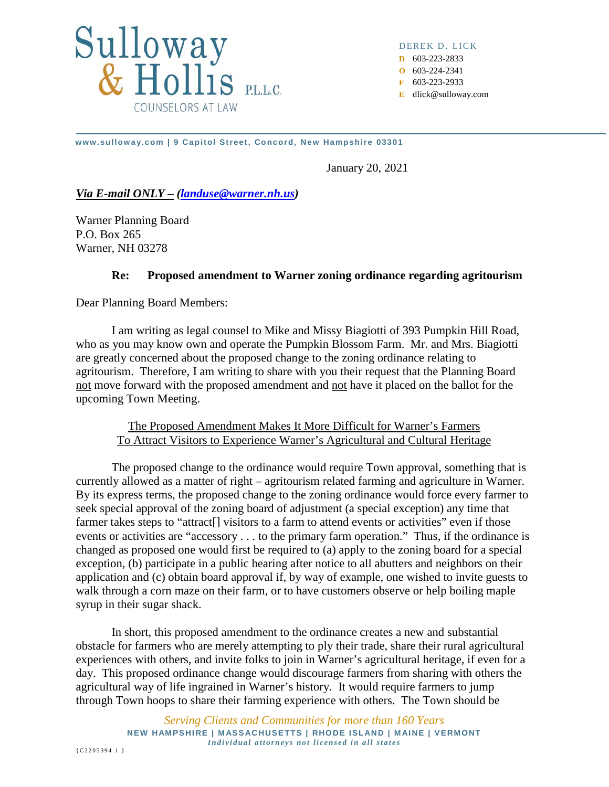

DEREK D. LICK **D** 603-223-2833 **O** 603-224-2341 **F** 603-223-2933

**E** dlick@sulloway.com

**www.sulloway.com | 9 Capitol Street, Concord, New Hampshire 03301**

January 20, 2021

*Via E-mail ONLY – [\(landuse@warner.nh.us\)](mailto:landuse@warner.nh.us)*

Warner Planning Board P.O. Box 265 Warner, NH 03278

## **Re: Proposed amendment to Warner zoning ordinance regarding agritourism**

Dear Planning Board Members:

I am writing as legal counsel to Mike and Missy Biagiotti of 393 Pumpkin Hill Road, who as you may know own and operate the Pumpkin Blossom Farm. Mr. and Mrs. Biagiotti are greatly concerned about the proposed change to the zoning ordinance relating to agritourism. Therefore, I am writing to share with you their request that the Planning Board not move forward with the proposed amendment and not have it placed on the ballot for the upcoming Town Meeting.

The Proposed Amendment Makes It More Difficult for Warner's Farmers To Attract Visitors to Experience Warner's Agricultural and Cultural Heritage

The proposed change to the ordinance would require Town approval, something that is currently allowed as a matter of right – agritourism related farming and agriculture in Warner. By its express terms, the proposed change to the zoning ordinance would force every farmer to seek special approval of the zoning board of adjustment (a special exception) any time that farmer takes steps to "attract<sup>[]</sup> visitors to a farm to attend events or activities" even if those events or activities are "accessory . . . to the primary farm operation." Thus, if the ordinance is changed as proposed one would first be required to (a) apply to the zoning board for a special exception, (b) participate in a public hearing after notice to all abutters and neighbors on their application and (c) obtain board approval if, by way of example, one wished to invite guests to walk through a corn maze on their farm, or to have customers observe or help boiling maple syrup in their sugar shack.

In short, this proposed amendment to the ordinance creates a new and substantial obstacle for farmers who are merely attempting to ply their trade, share their rural agricultural experiences with others, and invite folks to join in Warner's agricultural heritage, if even for a day. This proposed ordinance change would discourage farmers from sharing with others the agricultural way of life ingrained in Warner's history. It would require farmers to jump through Town hoops to share their farming experience with others. The Town should be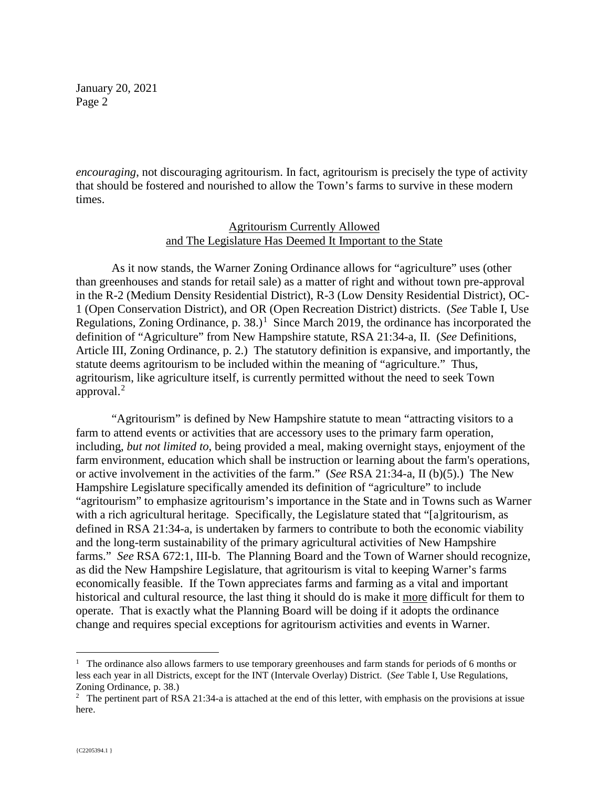*encouraging*, not discouraging agritourism. In fact, agritourism is precisely the type of activity that should be fostered and nourished to allow the Town's farms to survive in these modern times.

### Agritourism Currently Allowed and The Legislature Has Deemed It Important to the State

As it now stands, the Warner Zoning Ordinance allows for "agriculture" uses (other than greenhouses and stands for retail sale) as a matter of right and without town pre-approval in the R-2 (Medium Density Residential District), R-3 (Low Density Residential District), OC-1 (Open Conservation District), and OR (Open Recreation District) districts. (*See* Table I, Use Regulations, Zoning Ordinance, p. 38.)<sup>[1](#page-1-0)</sup> Since March 2019, the ordinance has incorporated the definition of "Agriculture" from New Hampshire statute, RSA 21:34-a, II. (*See* Definitions, Article III, Zoning Ordinance, p. 2.) The statutory definition is expansive, and importantly, the statute deems agritourism to be included within the meaning of "agriculture." Thus, agritourism, like agriculture itself, is currently permitted without the need to seek Town approval.<sup>[2](#page-1-1)</sup>

"Agritourism" is defined by New Hampshire statute to mean "attracting visitors to a farm to attend events or activities that are accessory uses to the primary farm operation, including, *but not limited to*, being provided a meal, making overnight stays, enjoyment of the farm environment, education which shall be instruction or learning about the farm's operations, or active involvement in the activities of the farm." (*See* RSA 21:34-a, II (b)(5).) The New Hampshire Legislature specifically amended its definition of "agriculture" to include "agritourism" to emphasize agritourism's importance in the State and in Towns such as Warner with a rich agricultural heritage. Specifically, the Legislature stated that "[a]gritourism, as defined in RSA 21:34-a, is undertaken by farmers to contribute to both the economic viability and the long-term sustainability of the primary agricultural activities of New Hampshire farms." *See* RSA 672:1, III-b. The Planning Board and the Town of Warner should recognize, as did the New Hampshire Legislature, that agritourism is vital to keeping Warner's farms economically feasible. If the Town appreciates farms and farming as a vital and important historical and cultural resource, the last thing it should do is make it more difficult for them to operate. That is exactly what the Planning Board will be doing if it adopts the ordinance change and requires special exceptions for agritourism activities and events in Warner.

<span id="page-1-0"></span> $\frac{1}{1}$  $1$  The ordinance also allows farmers to use temporary greenhouses and farm stands for periods of 6 months or less each year in all Districts, except for the INT (Intervale Overlay) District. (*See* Table I, Use Regulations, Zoning Ordinance, p. 38.)

<span id="page-1-1"></span><sup>&</sup>lt;sup>2</sup> The pertinent part of RSA 21:34-a is attached at the end of this letter, with emphasis on the provisions at issue here.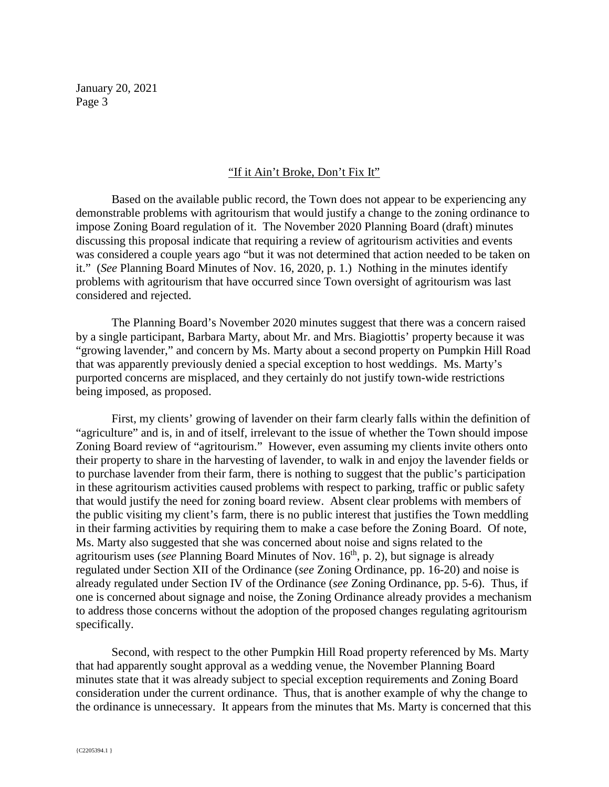### "If it Ain't Broke, Don't Fix It"

Based on the available public record, the Town does not appear to be experiencing any demonstrable problems with agritourism that would justify a change to the zoning ordinance to impose Zoning Board regulation of it. The November 2020 Planning Board (draft) minutes discussing this proposal indicate that requiring a review of agritourism activities and events was considered a couple years ago "but it was not determined that action needed to be taken on it." (*See* Planning Board Minutes of Nov. 16, 2020, p. 1.) Nothing in the minutes identify problems with agritourism that have occurred since Town oversight of agritourism was last considered and rejected.

The Planning Board's November 2020 minutes suggest that there was a concern raised by a single participant, Barbara Marty, about Mr. and Mrs. Biagiottis' property because it was "growing lavender," and concern by Ms. Marty about a second property on Pumpkin Hill Road that was apparently previously denied a special exception to host weddings. Ms. Marty's purported concerns are misplaced, and they certainly do not justify town-wide restrictions being imposed, as proposed.

First, my clients' growing of lavender on their farm clearly falls within the definition of "agriculture" and is, in and of itself, irrelevant to the issue of whether the Town should impose Zoning Board review of "agritourism." However, even assuming my clients invite others onto their property to share in the harvesting of lavender, to walk in and enjoy the lavender fields or to purchase lavender from their farm, there is nothing to suggest that the public's participation in these agritourism activities caused problems with respect to parking, traffic or public safety that would justify the need for zoning board review. Absent clear problems with members of the public visiting my client's farm, there is no public interest that justifies the Town meddling in their farming activities by requiring them to make a case before the Zoning Board. Of note, Ms. Marty also suggested that she was concerned about noise and signs related to the agritourism uses (*see* Planning Board Minutes of Nov. 16<sup>th</sup>, p. 2), but signage is already regulated under Section XII of the Ordinance (*see* Zoning Ordinance, pp. 16-20) and noise is already regulated under Section IV of the Ordinance (*see* Zoning Ordinance, pp. 5-6). Thus, if one is concerned about signage and noise, the Zoning Ordinance already provides a mechanism to address those concerns without the adoption of the proposed changes regulating agritourism specifically.

Second, with respect to the other Pumpkin Hill Road property referenced by Ms. Marty that had apparently sought approval as a wedding venue, the November Planning Board minutes state that it was already subject to special exception requirements and Zoning Board consideration under the current ordinance. Thus, that is another example of why the change to the ordinance is unnecessary. It appears from the minutes that Ms. Marty is concerned that this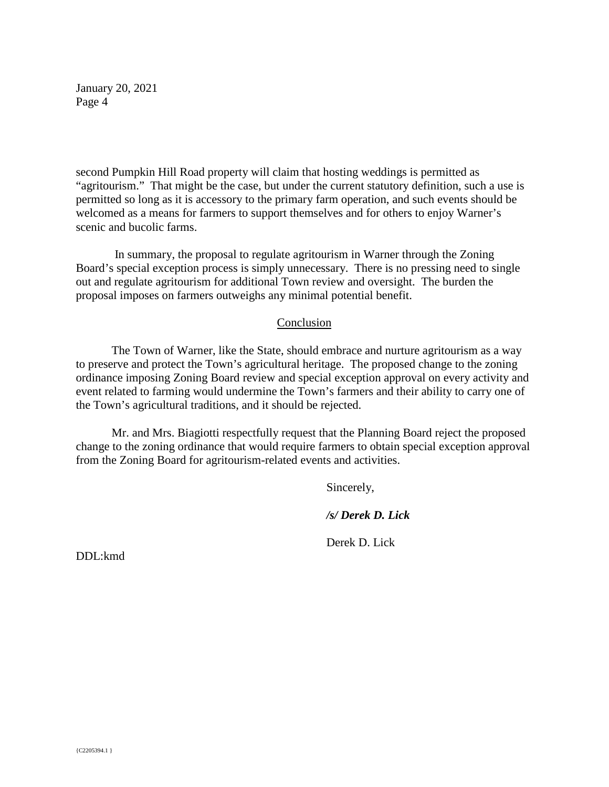second Pumpkin Hill Road property will claim that hosting weddings is permitted as "agritourism." That might be the case, but under the current statutory definition, such a use is permitted so long as it is accessory to the primary farm operation, and such events should be welcomed as a means for farmers to support themselves and for others to enjoy Warner's scenic and bucolic farms.

In summary, the proposal to regulate agritourism in Warner through the Zoning Board's special exception process is simply unnecessary. There is no pressing need to single out and regulate agritourism for additional Town review and oversight. The burden the proposal imposes on farmers outweighs any minimal potential benefit.

#### Conclusion

The Town of Warner, like the State, should embrace and nurture agritourism as a way to preserve and protect the Town's agricultural heritage. The proposed change to the zoning ordinance imposing Zoning Board review and special exception approval on every activity and event related to farming would undermine the Town's farmers and their ability to carry one of the Town's agricultural traditions, and it should be rejected.

Mr. and Mrs. Biagiotti respectfully request that the Planning Board reject the proposed change to the zoning ordinance that would require farmers to obtain special exception approval from the Zoning Board for agritourism-related events and activities.

Sincerely,

*/s/ Derek D. Lick*

Derek D. Lick

DDL:kmd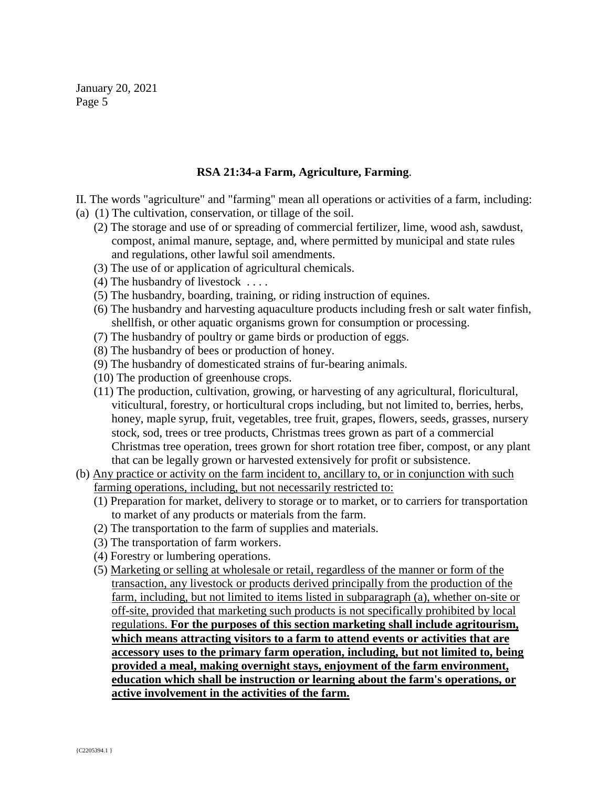# **RSA 21:34-a Farm, Agriculture, Farming**.

II. The words "agriculture" and "farming" mean all operations or activities of a farm, including:

- (a) (1) The cultivation, conservation, or tillage of the soil.
	- (2) The storage and use of or spreading of commercial fertilizer, lime, wood ash, sawdust, compost, animal manure, septage, and, where permitted by municipal and state rules and regulations, other lawful soil amendments.
	- (3) The use of or application of agricultural chemicals.
	- (4) The husbandry of livestock . . . .
	- (5) The husbandry, boarding, training, or riding instruction of equines.
	- (6) The husbandry and harvesting aquaculture products including fresh or salt water finfish, shellfish, or other aquatic organisms grown for consumption or processing.
	- (7) The husbandry of poultry or game birds or production of eggs.
	- (8) The husbandry of bees or production of honey.
	- (9) The husbandry of domesticated strains of fur-bearing animals.
	- (10) The production of greenhouse crops.
	- (11) The production, cultivation, growing, or harvesting of any agricultural, floricultural, viticultural, forestry, or horticultural crops including, but not limited to, berries, herbs, honey, maple syrup, fruit, vegetables, tree fruit, grapes, flowers, seeds, grasses, nursery stock, sod, trees or tree products, Christmas trees grown as part of a commercial Christmas tree operation, trees grown for short rotation tree fiber, compost, or any plant that can be legally grown or harvested extensively for profit or subsistence.
- (b) Any practice or activity on the farm incident to, ancillary to, or in conjunction with such farming operations, including, but not necessarily restricted to:
	- (1) Preparation for market, delivery to storage or to market, or to carriers for transportation to market of any products or materials from the farm.
	- (2) The transportation to the farm of supplies and materials.
	- (3) The transportation of farm workers.
	- (4) Forestry or lumbering operations.
	- (5) Marketing or selling at wholesale or retail, regardless of the manner or form of the transaction, any livestock or products derived principally from the production of the farm, including, but not limited to items listed in subparagraph (a), whether on-site or off-site, provided that marketing such products is not specifically prohibited by local regulations. **For the purposes of this section marketing shall include agritourism, which means attracting visitors to a farm to attend events or activities that are accessory uses to the primary farm operation, including, but not limited to, being provided a meal, making overnight stays, enjoyment of the farm environment, education which shall be instruction or learning about the farm's operations, or active involvement in the activities of the farm.**